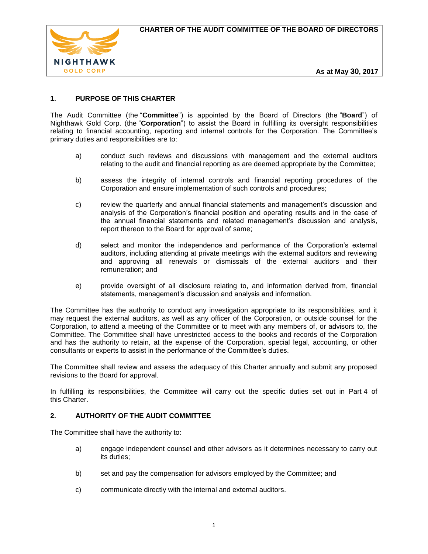

# **1. PURPOSE OF THIS CHARTER**

The Audit Committee (the "**Committee**") is appointed by the Board of Directors (the "**Board**") of Nighthawk Gold Corp. (the "**Corporation**") to assist the Board in fulfilling its oversight responsibilities relating to financial accounting, reporting and internal controls for the Corporation. The Committee's primary duties and responsibilities are to:

- a) conduct such reviews and discussions with management and the external auditors relating to the audit and financial reporting as are deemed appropriate by the Committee;
- b) assess the integrity of internal controls and financial reporting procedures of the Corporation and ensure implementation of such controls and procedures;
- c) review the quarterly and annual financial statements and management's discussion and analysis of the Corporation's financial position and operating results and in the case of the annual financial statements and related management's discussion and analysis, report thereon to the Board for approval of same;
- d) select and monitor the independence and performance of the Corporation's external auditors, including attending at private meetings with the external auditors and reviewing and approving all renewals or dismissals of the external auditors and their remuneration; and
- e) provide oversight of all disclosure relating to, and information derived from, financial statements, management's discussion and analysis and information.

The Committee has the authority to conduct any investigation appropriate to its responsibilities, and it may request the external auditors, as well as any officer of the Corporation, or outside counsel for the Corporation, to attend a meeting of the Committee or to meet with any members of, or advisors to, the Committee. The Committee shall have unrestricted access to the books and records of the Corporation and has the authority to retain, at the expense of the Corporation, special legal, accounting, or other consultants or experts to assist in the performance of the Committee's duties.

The Committee shall review and assess the adequacy of this Charter annually and submit any proposed revisions to the Board for approval.

In fulfilling its responsibilities, the Committee will carry out the specific duties set out in Part 4 of this Charter.

## **2. AUTHORITY OF THE AUDIT COMMITTEE**

The Committee shall have the authority to:

- a) engage independent counsel and other advisors as it determines necessary to carry out its duties;
- b) set and pay the compensation for advisors employed by the Committee; and
- c) communicate directly with the internal and external auditors.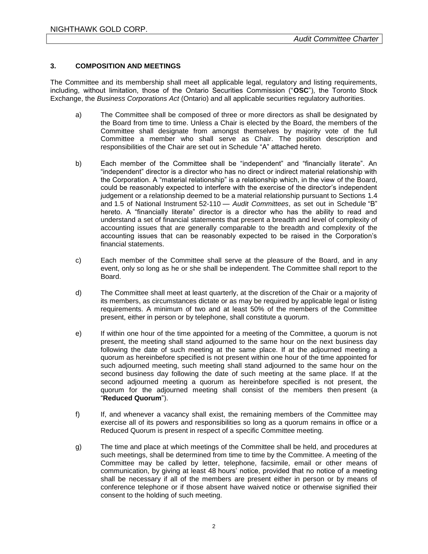## **3. COMPOSITION AND MEETINGS**

The Committee and its membership shall meet all applicable legal, regulatory and listing requirements, including, without limitation, those of the Ontario Securities Commission ("**OSC**"), the Toronto Stock Exchange, the *Business Corporations Act* (Ontario) and all applicable securities regulatory authorities.

- a) The Committee shall be composed of three or more directors as shall be designated by the Board from time to time. Unless a Chair is elected by the Board, the members of the Committee shall designate from amongst themselves by majority vote of the full Committee a member who shall serve as Chair. The position description and responsibilities of the Chair are set out in Schedule "A" attached hereto.
- b) Each member of the Committee shall be "independent" and "financially literate". An "independent" director is a director who has no direct or indirect material relationship with the Corporation. A "material relationship" is a relationship which, in the view of the Board, could be reasonably expected to interfere with the exercise of the director's independent judgement or a relationship deemed to be a material relationship pursuant to Sections 1.4 and 1.5 of National Instrument 52-110 — *Audit Committees*, as set out in Schedule "B" hereto. A "financially literate" director is a director who has the ability to read and understand a set of financial statements that present a breadth and level of complexity of accounting issues that are generally comparable to the breadth and complexity of the accounting issues that can be reasonably expected to be raised in the Corporation's financial statements.
- c) Each member of the Committee shall serve at the pleasure of the Board, and in any event, only so long as he or she shall be independent. The Committee shall report to the Board.
- d) The Committee shall meet at least quarterly, at the discretion of the Chair or a majority of its members, as circumstances dictate or as may be required by applicable legal or listing requirements. A minimum of two and at least 50% of the members of the Committee present, either in person or by telephone, shall constitute a quorum.
- e) If within one hour of the time appointed for a meeting of the Committee, a quorum is not present, the meeting shall stand adjourned to the same hour on the next business day following the date of such meeting at the same place. If at the adjourned meeting a quorum as hereinbefore specified is not present within one hour of the time appointed for such adjourned meeting, such meeting shall stand adjourned to the same hour on the second business day following the date of such meeting at the same place. If at the second adjourned meeting a quorum as hereinbefore specified is not present, the quorum for the adjourned meeting shall consist of the members then present (a "**Reduced Quorum**").
- f) If, and whenever a vacancy shall exist, the remaining members of the Committee may exercise all of its powers and responsibilities so long as a quorum remains in office or a Reduced Quorum is present in respect of a specific Committee meeting.
- g) The time and place at which meetings of the Committee shall be held, and procedures at such meetings, shall be determined from time to time by the Committee. A meeting of the Committee may be called by letter, telephone, facsimile, email or other means of communication, by giving at least 48 hours' notice, provided that no notice of a meeting shall be necessary if all of the members are present either in person or by means of conference telephone or if those absent have waived notice or otherwise signified their consent to the holding of such meeting.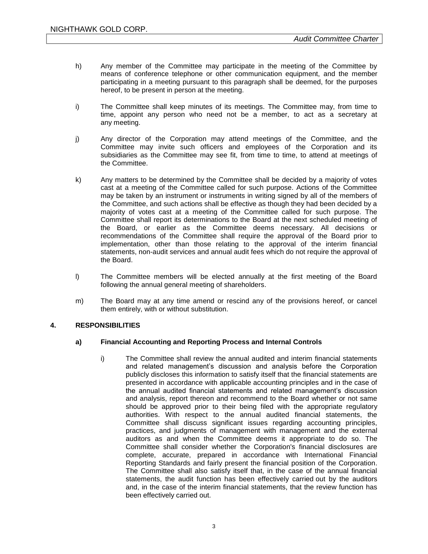- h) Any member of the Committee may participate in the meeting of the Committee by means of conference telephone or other communication equipment, and the member participating in a meeting pursuant to this paragraph shall be deemed, for the purposes hereof, to be present in person at the meeting.
- i) The Committee shall keep minutes of its meetings. The Committee may, from time to time, appoint any person who need not be a member, to act as a secretary at any meeting.
- j) Any director of the Corporation may attend meetings of the Committee, and the Committee may invite such officers and employees of the Corporation and its subsidiaries as the Committee may see fit, from time to time, to attend at meetings of the Committee.
- k) Any matters to be determined by the Committee shall be decided by a majority of votes cast at a meeting of the Committee called for such purpose. Actions of the Committee may be taken by an instrument or instruments in writing signed by all of the members of the Committee, and such actions shall be effective as though they had been decided by a majority of votes cast at a meeting of the Committee called for such purpose. The Committee shall report its determinations to the Board at the next scheduled meeting of the Board, or earlier as the Committee deems necessary. All decisions or recommendations of the Committee shall require the approval of the Board prior to implementation, other than those relating to the approval of the interim financial statements, non-audit services and annual audit fees which do not require the approval of the Board.
- l) The Committee members will be elected annually at the first meeting of the Board following the annual general meeting of shareholders.
- m) The Board may at any time amend or rescind any of the provisions hereof, or cancel them entirely, with or without substitution.

#### **4. RESPONSIBILITIES**

#### **a) Financial Accounting and Reporting Process and Internal Controls**

i) The Committee shall review the annual audited and interim financial statements and related management's discussion and analysis before the Corporation publicly discloses this information to satisfy itself that the financial statements are presented in accordance with applicable accounting principles and in the case of the annual audited financial statements and related management's discussion and analysis, report thereon and recommend to the Board whether or not same should be approved prior to their being filed with the appropriate regulatory authorities. With respect to the annual audited financial statements, the Committee shall discuss significant issues regarding accounting principles, practices, and judgments of management with management and the external auditors as and when the Committee deems it appropriate to do so. The Committee shall consider whether the Corporation's financial disclosures are complete, accurate, prepared in accordance with International Financial Reporting Standards and fairly present the financial position of the Corporation. The Committee shall also satisfy itself that, in the case of the annual financial statements, the audit function has been effectively carried out by the auditors and, in the case of the interim financial statements, that the review function has been effectively carried out.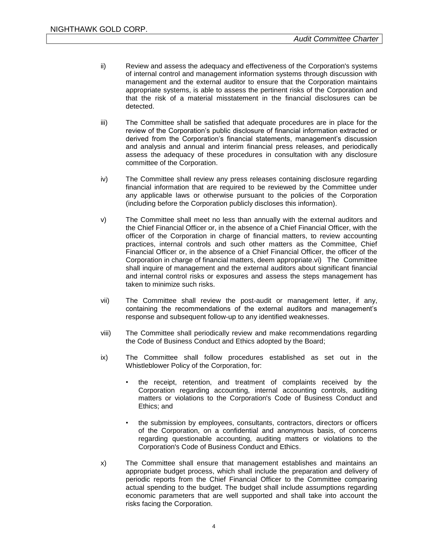- ii) Review and assess the adequacy and effectiveness of the Corporation's systems of internal control and management information systems through discussion with management and the external auditor to ensure that the Corporation maintains appropriate systems, is able to assess the pertinent risks of the Corporation and that the risk of a material misstatement in the financial disclosures can be detected.
- iii) The Committee shall be satisfied that adequate procedures are in place for the review of the Corporation's public disclosure of financial information extracted or derived from the Corporation's financial statements, management's discussion and analysis and annual and interim financial press releases, and periodically assess the adequacy of these procedures in consultation with any disclosure committee of the Corporation.
- iv) The Committee shall review any press releases containing disclosure regarding financial information that are required to be reviewed by the Committee under any applicable laws or otherwise pursuant to the policies of the Corporation (including before the Corporation publicly discloses this information).
- v) The Committee shall meet no less than annually with the external auditors and the Chief Financial Officer or, in the absence of a Chief Financial Officer, with the officer of the Corporation in charge of financial matters, to review accounting practices, internal controls and such other matters as the Committee, Chief Financial Officer or, in the absence of a Chief Financial Officer, the officer of the Corporation in charge of financial matters, deem appropriate.vi) The Committee shall inquire of management and the external auditors about significant financial and internal control risks or exposures and assess the steps management has taken to minimize such risks.
- vii) The Committee shall review the post-audit or management letter, if any, containing the recommendations of the external auditors and management's response and subsequent follow-up to any identified weaknesses.
- viii) The Committee shall periodically review and make recommendations regarding the Code of Business Conduct and Ethics adopted by the Board;
- ix) The Committee shall follow procedures established as set out in the Whistleblower Policy of the Corporation, for:
	- the receipt, retention, and treatment of complaints received by the Corporation regarding accounting, internal accounting controls, auditing matters or violations to the Corporation's Code of Business Conduct and Ethics; and
	- the submission by employees, consultants, contractors, directors or officers of the Corporation, on a confidential and anonymous basis, of concerns regarding questionable accounting, auditing matters or violations to the Corporation's Code of Business Conduct and Ethics.
- x) The Committee shall ensure that management establishes and maintains an appropriate budget process, which shall include the preparation and delivery of periodic reports from the Chief Financial Officer to the Committee comparing actual spending to the budget. The budget shall include assumptions regarding economic parameters that are well supported and shall take into account the risks facing the Corporation.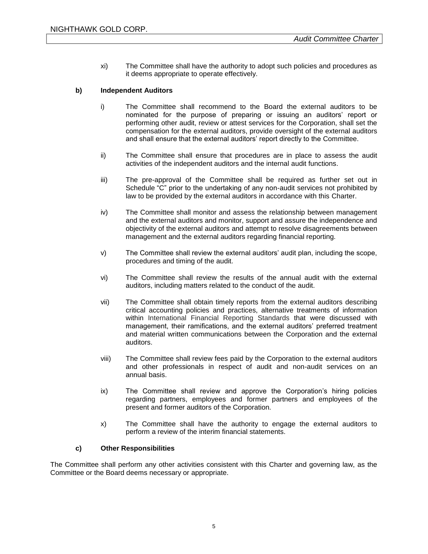xi) The Committee shall have the authority to adopt such policies and procedures as it deems appropriate to operate effectively.

# **b) Independent Auditors**

- i) The Committee shall recommend to the Board the external auditors to be nominated for the purpose of preparing or issuing an auditors' report or performing other audit, review or attest services for the Corporation, shall set the compensation for the external auditors, provide oversight of the external auditors and shall ensure that the external auditors' report directly to the Committee.
- ii) The Committee shall ensure that procedures are in place to assess the audit activities of the independent auditors and the internal audit functions.
- iii) The pre-approval of the Committee shall be required as further set out in Schedule "C" prior to the undertaking of any non-audit services not prohibited by law to be provided by the external auditors in accordance with this Charter.
- iv) The Committee shall monitor and assess the relationship between management and the external auditors and monitor, support and assure the independence and objectivity of the external auditors and attempt to resolve disagreements between management and the external auditors regarding financial reporting.
- v) The Committee shall review the external auditors' audit plan, including the scope, procedures and timing of the audit.
- vi) The Committee shall review the results of the annual audit with the external auditors, including matters related to the conduct of the audit.
- vii) The Committee shall obtain timely reports from the external auditors describing critical accounting policies and practices, alternative treatments of information within International Financial Reporting Standards that were discussed with management, their ramifications, and the external auditors' preferred treatment and material written communications between the Corporation and the external auditors.
- viii) The Committee shall review fees paid by the Corporation to the external auditors and other professionals in respect of audit and non-audit services on an annual basis.
- ix) The Committee shall review and approve the Corporation's hiring policies regarding partners, employees and former partners and employees of the present and former auditors of the Corporation.
- x) The Committee shall have the authority to engage the external auditors to perform a review of the interim financial statements.

## **c) Other Responsibilities**

The Committee shall perform any other activities consistent with this Charter and governing law, as the Committee or the Board deems necessary or appropriate.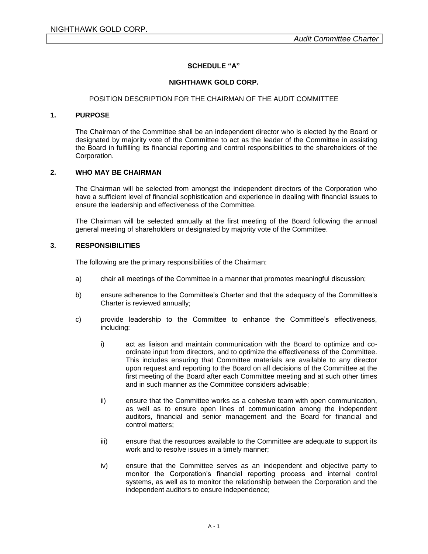## **SCHEDULE "A"**

## **NIGHTHAWK GOLD CORP.**

#### POSITION DESCRIPTION FOR THE CHAIRMAN OF THE AUDIT COMMITTEE

## **1. PURPOSE**

The Chairman of the Committee shall be an independent director who is elected by the Board or designated by majority vote of the Committee to act as the leader of the Committee in assisting the Board in fulfilling its financial reporting and control responsibilities to the shareholders of the Corporation.

#### **2. WHO MAY BE CHAIRMAN**

The Chairman will be selected from amongst the independent directors of the Corporation who have a sufficient level of financial sophistication and experience in dealing with financial issues to ensure the leadership and effectiveness of the Committee.

The Chairman will be selected annually at the first meeting of the Board following the annual general meeting of shareholders or designated by majority vote of the Committee.

## **3. RESPONSIBILITIES**

The following are the primary responsibilities of the Chairman:

- a) chair all meetings of the Committee in a manner that promotes meaningful discussion;
- b) ensure adherence to the Committee's Charter and that the adequacy of the Committee's Charter is reviewed annually;
- c) provide leadership to the Committee to enhance the Committee's effectiveness, including:
	- i) act as liaison and maintain communication with the Board to optimize and coordinate input from directors, and to optimize the effectiveness of the Committee. This includes ensuring that Committee materials are available to any director upon request and reporting to the Board on all decisions of the Committee at the first meeting of the Board after each Committee meeting and at such other times and in such manner as the Committee considers advisable;
	- ii) ensure that the Committee works as a cohesive team with open communication, as well as to ensure open lines of communication among the independent auditors, financial and senior management and the Board for financial and control matters;
	- iii) ensure that the resources available to the Committee are adequate to support its work and to resolve issues in a timely manner;
	- iv) ensure that the Committee serves as an independent and objective party to monitor the Corporation's financial reporting process and internal control systems, as well as to monitor the relationship between the Corporation and the independent auditors to ensure independence;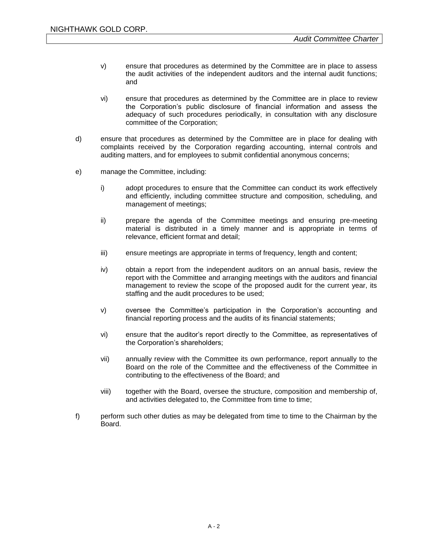- v) ensure that procedures as determined by the Committee are in place to assess the audit activities of the independent auditors and the internal audit functions; and
- vi) ensure that procedures as determined by the Committee are in place to review the Corporation's public disclosure of financial information and assess the adequacy of such procedures periodically, in consultation with any disclosure committee of the Corporation;
- d) ensure that procedures as determined by the Committee are in place for dealing with complaints received by the Corporation regarding accounting, internal controls and auditing matters, and for employees to submit confidential anonymous concerns;
- e) manage the Committee, including:
	- i) adopt procedures to ensure that the Committee can conduct its work effectively and efficiently, including committee structure and composition, scheduling, and management of meetings;
	- ii) prepare the agenda of the Committee meetings and ensuring pre-meeting material is distributed in a timely manner and is appropriate in terms of relevance, efficient format and detail;
	- iii) ensure meetings are appropriate in terms of frequency, length and content;
	- iv) obtain a report from the independent auditors on an annual basis, review the report with the Committee and arranging meetings with the auditors and financial management to review the scope of the proposed audit for the current year, its staffing and the audit procedures to be used;
	- v) oversee the Committee's participation in the Corporation's accounting and financial reporting process and the audits of its financial statements;
	- vi) ensure that the auditor's report directly to the Committee, as representatives of the Corporation's shareholders;
	- vii) annually review with the Committee its own performance, report annually to the Board on the role of the Committee and the effectiveness of the Committee in contributing to the effectiveness of the Board; and
	- viii) together with the Board, oversee the structure, composition and membership of, and activities delegated to, the Committee from time to time;
- f) perform such other duties as may be delegated from time to time to the Chairman by the Board.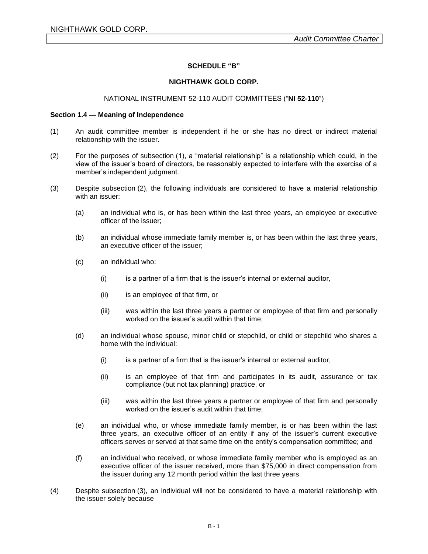## **SCHEDULE "B"**

## **NIGHTHAWK GOLD CORP.**

#### NATIONAL INSTRUMENT 52-110 AUDIT COMMITTEES ("**NI 52-110**")

#### **Section 1.4 — Meaning of Independence**

- (1) An audit committee member is independent if he or she has no direct or indirect material relationship with the issuer.
- (2) For the purposes of subsection (1), a "material relationship" is a relationship which could, in the view of the issuer's board of directors, be reasonably expected to interfere with the exercise of a member's independent judgment.
- (3) Despite subsection (2), the following individuals are considered to have a material relationship with an issuer:
	- (a) an individual who is, or has been within the last three years, an employee or executive officer of the issuer;
	- (b) an individual whose immediate family member is, or has been within the last three years, an executive officer of the issuer;
	- (c) an individual who:
		- (i) is a partner of a firm that is the issuer's internal or external auditor,
		- (ii) is an employee of that firm, or
		- (iii) was within the last three years a partner or employee of that firm and personally worked on the issuer's audit within that time;
	- (d) an individual whose spouse, minor child or stepchild, or child or stepchild who shares a home with the individual:
		- $(i)$  is a partner of a firm that is the issuer's internal or external auditor,
		- (ii) is an employee of that firm and participates in its audit, assurance or tax compliance (but not tax planning) practice, or
		- (iii) was within the last three years a partner or employee of that firm and personally worked on the issuer's audit within that time;
	- (e) an individual who, or whose immediate family member, is or has been within the last three years, an executive officer of an entity if any of the issuer's current executive officers serves or served at that same time on the entity's compensation committee; and
	- (f) an individual who received, or whose immediate family member who is employed as an executive officer of the issuer received, more than \$75,000 in direct compensation from the issuer during any 12 month period within the last three years.
- (4) Despite subsection (3), an individual will not be considered to have a material relationship with the issuer solely because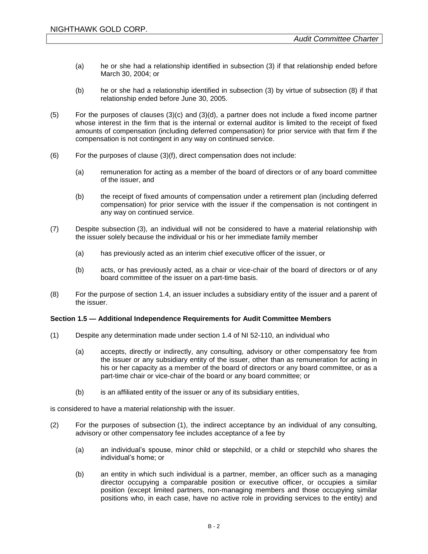- (a) he or she had a relationship identified in subsection (3) if that relationship ended before March 30, 2004; or
- (b) he or she had a relationship identified in subsection (3) by virtue of subsection (8) if that relationship ended before June 30, 2005.
- (5) For the purposes of clauses (3)(c) and (3)(d), a partner does not include a fixed income partner whose interest in the firm that is the internal or external auditor is limited to the receipt of fixed amounts of compensation (including deferred compensation) for prior service with that firm if the compensation is not contingent in any way on continued service.
- (6) For the purposes of clause (3)(f), direct compensation does not include:
	- (a) remuneration for acting as a member of the board of directors or of any board committee of the issuer, and
	- (b) the receipt of fixed amounts of compensation under a retirement plan (including deferred compensation) for prior service with the issuer if the compensation is not contingent in any way on continued service.
- (7) Despite subsection (3), an individual will not be considered to have a material relationship with the issuer solely because the individual or his or her immediate family member
	- (a) has previously acted as an interim chief executive officer of the issuer, or
	- (b) acts, or has previously acted, as a chair or vice-chair of the board of directors or of any board committee of the issuer on a part-time basis.
- (8) For the purpose of section 1.4, an issuer includes a subsidiary entity of the issuer and a parent of the issuer.

#### **Section 1.5 — Additional Independence Requirements for Audit Committee Members**

- (1) Despite any determination made under section 1.4 of NI 52-110, an individual who
	- (a) accepts, directly or indirectly, any consulting, advisory or other compensatory fee from the issuer or any subsidiary entity of the issuer, other than as remuneration for acting in his or her capacity as a member of the board of directors or any board committee, or as a part-time chair or vice-chair of the board or any board committee; or
	- (b) is an affiliated entity of the issuer or any of its subsidiary entities,

is considered to have a material relationship with the issuer.

- (2) For the purposes of subsection (1), the indirect acceptance by an individual of any consulting, advisory or other compensatory fee includes acceptance of a fee by
	- (a) an individual's spouse, minor child or stepchild, or a child or stepchild who shares the individual's home; or
	- (b) an entity in which such individual is a partner, member, an officer such as a managing director occupying a comparable position or executive officer, or occupies a similar position (except limited partners, non-managing members and those occupying similar positions who, in each case, have no active role in providing services to the entity) and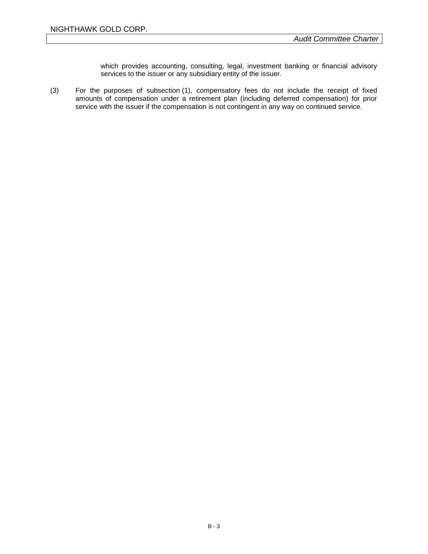which provides accounting, consulting, legal, investment banking or financial advisory services to the issuer or any subsidiary entity of the issuer.

(3) For the purposes of subsection (1), compensatory fees do not include the receipt of fixed amounts of compensation under a retirement plan (including deferred compensation) for prior service with the issuer if the compensation is not contingent in any way on continued service.